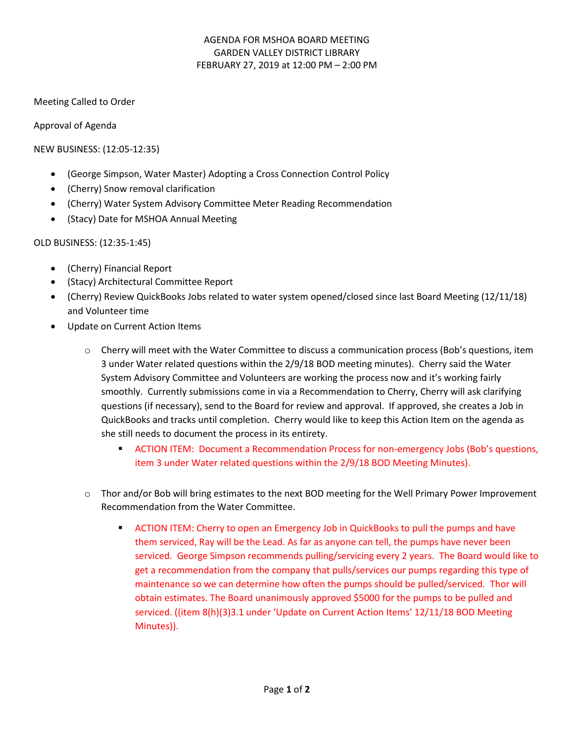## AGENDA FOR MSHOA BOARD MEETING GARDEN VALLEY DISTRICT LIBRARY FEBRUARY 27, 2019 at 12:00 PM – 2:00 PM

Meeting Called to Order

Approval of Agenda

NEW BUSINESS: (12:05-12:35)

- (George Simpson, Water Master) Adopting a Cross Connection Control Policy
- (Cherry) Snow removal clarification
- (Cherry) Water System Advisory Committee Meter Reading Recommendation
- (Stacy) Date for MSHOA Annual Meeting

OLD BUSINESS: (12:35-1:45)

- (Cherry) Financial Report
- (Stacy) Architectural Committee Report
- (Cherry) Review QuickBooks Jobs related to water system opened/closed since last Board Meeting (12/11/18) and Volunteer time
- Update on Current Action Items
	- o Cherry will meet with the Water Committee to discuss a communication process (Bob's questions, item 3 under Water related questions within the 2/9/18 BOD meeting minutes). Cherry said the Water System Advisory Committee and Volunteers are working the process now and it's working fairly smoothly. Currently submissions come in via a Recommendation to Cherry, Cherry will ask clarifying questions (if necessary), send to the Board for review and approval. If approved, she creates a Job in QuickBooks and tracks until completion. Cherry would like to keep this Action Item on the agenda as she still needs to document the process in its entirety.
		- **EXECTION ITEM: Document a Recommendation Process for non-emergency Jobs (Bob's questions,** item 3 under Water related questions within the 2/9/18 BOD Meeting Minutes).
	- o Thor and/or Bob will bring estimates to the next BOD meeting for the Well Primary Power Improvement Recommendation from the Water Committee.
		- **EXECTION ITEM:** Cherry to open an Emergency Job in QuickBooks to pull the pumps and have them serviced, Ray will be the Lead. As far as anyone can tell, the pumps have never been serviced. George Simpson recommends pulling/servicing every 2 years. The Board would like to get a recommendation from the company that pulls/services our pumps regarding this type of maintenance so we can determine how often the pumps should be pulled/serviced. Thor will obtain estimates. The Board unanimously approved \$5000 for the pumps to be pulled and serviced. ((item 8(h)(3)3.1 under 'Update on Current Action Items' 12/11/18 BOD Meeting Minutes)).